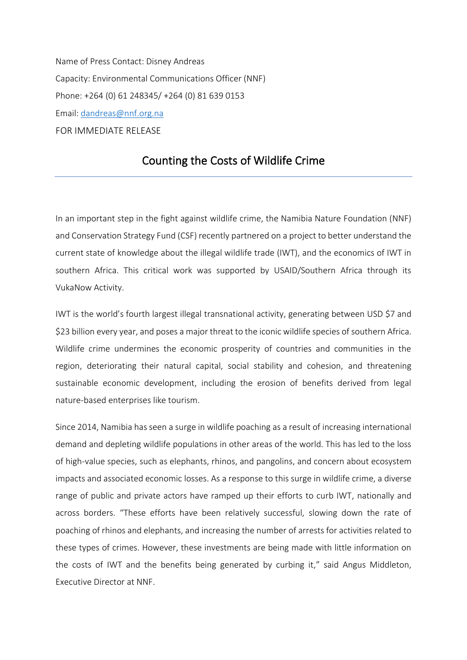Name of Press Contact: Disney Andreas Capacity: Environmental Communications Officer (NNF) Phone: +264 (0) 61 248345/ +264 (0) 81 639 0153 Email: [dandreas@nnf.org.na](mailto:dandreas@nnf.org.na) FOR IMMEDIATE RELEASE

## Counting the Costs of Wildlife Crime

In an important step in the fight against wildlife crime, the Namibia Nature Foundation (NNF) and Conservation Strategy Fund (CSF) recently partnered on a project to better understand the current state of knowledge about the illegal wildlife trade (IWT), and the economics of IWT in southern Africa. This critical work was supported by USAID/Southern Africa through its VukaNow Activity.

IWT is the world's fourth largest illegal transnational activity, generating between USD \$7 and \$23 billion every year, and poses a major threat to the iconic wildlife species of southern Africa. Wildlife crime undermines the economic prosperity of countries and communities in the region, deteriorating their natural capital, social stability and cohesion, and threatening sustainable economic development, including the erosion of benefits derived from legal nature-based enterprises like tourism.

Since 2014, Namibia has seen a surge in wildlife poaching as a result of increasing international demand and depleting wildlife populations in other areas of the world. This has led to the loss of high-value species, such as elephants, rhinos, and pangolins, and concern about ecosystem impacts and associated economic losses. As a response to this surge in wildlife crime, a diverse range of public and private actors have ramped up their efforts to curb IWT, nationally and across borders. "These efforts have been relatively successful, slowing down the rate of poaching of rhinos and elephants, and increasing the number of arrests for activities related to these types of crimes. However, these investments are being made with little information on the costs of IWT and the benefits being generated by curbing it," said Angus Middleton, Executive Director at NNF.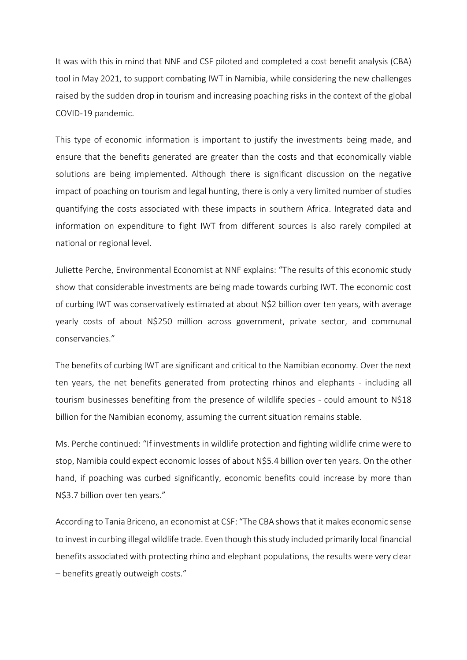It was with this in mind that NNF and CSF piloted and completed a cost benefit analysis (CBA) tool in May 2021, to support combating IWT in Namibia, while considering the new challenges raised by the sudden drop in tourism and increasing poaching risks in the context of the global COVID-19 pandemic.

This type of economic information is important to justify the investments being made, and ensure that the benefits generated are greater than the costs and that economically viable solutions are being implemented. Although there is significant discussion on the negative impact of poaching on tourism and legal hunting, there is only a very limited number of studies quantifying the costs associated with these impacts in southern Africa. Integrated data and information on expenditure to fight IWT from different sources is also rarely compiled at national or regional level.

Juliette Perche, Environmental Economist at NNF explains: "The results of this economic study show that considerable investments are being made towards curbing IWT. The economic cost of curbing IWT was conservatively estimated at about N\$2 billion over ten years, with average yearly costs of about N\$250 million across government, private sector, and communal conservancies."

The benefits of curbing IWT are significant and critical to the Namibian economy. Over the next ten years, the net benefits generated from protecting rhinos and elephants - including all tourism businesses benefiting from the presence of wildlife species - could amount to N\$18 billion for the Namibian economy, assuming the current situation remains stable.

Ms. Perche continued: "If investments in wildlife protection and fighting wildlife crime were to stop, Namibia could expect economic losses of about N\$5.4 billion over ten years. On the other hand, if poaching was curbed significantly, economic benefits could increase by more than N\$3.7 billion over ten years."

According to Tania Briceno, an economist at CSF: "The CBA shows that it makes economic sense to invest in curbing illegal wildlife trade. Even though this study included primarily local financial benefits associated with protecting rhino and elephant populations, the results were very clear – benefits greatly outweigh costs."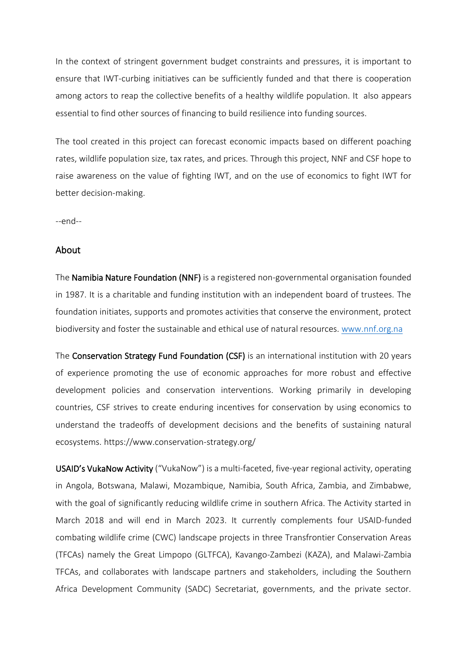In the context of stringent government budget constraints and pressures, it is important to ensure that IWT-curbing initiatives can be sufficiently funded and that there is cooperation among actors to reap the collective benefits of a healthy wildlife population. It also appears essential to find other sources of financing to build resilience into funding sources.

The tool created in this project can forecast economic impacts based on different poaching rates, wildlife population size, tax rates, and prices. Through this project, NNF and CSF hope to raise awareness on the value of fighting IWT, and on the use of economics to fight IWT for better decision-making.

--end--

## About

The Namibia Nature Foundation (NNF) is a registered non-governmental organisation founded in 1987. It is a charitable and funding institution with an independent board of trustees. The foundation initiates, supports and promotes activities that conserve the environment, protect biodiversity and foster the sustainable and ethical use of natural resources. [www.nnf.org.na](http://www.nnf.org.na/)

The Conservation Strategy Fund Foundation (CSF) is an international institution with 20 years of experience promoting the use of economic approaches for more robust and effective development policies and conservation interventions. Working primarily in developing countries, CSF strives to create enduring incentives for conservation by using economics to understand the tradeoffs of development decisions and the benefits of sustaining natural ecosystems. https://www.conservation-strategy.org/

USAID's VukaNow Activity ("VukaNow") is a multi-faceted, five-year regional activity, operating in Angola, Botswana, Malawi, Mozambique, Namibia, South Africa, Zambia, and Zimbabwe, with the goal of significantly reducing wildlife crime in southern Africa. The Activity started in March 2018 and will end in March 2023. It currently complements four USAID-funded combating wildlife crime (CWC) landscape projects in three Transfrontier Conservation Areas (TFCAs) namely the Great Limpopo (GLTFCA), Kavango-Zambezi (KAZA), and Malawi-Zambia TFCAs, and collaborates with landscape partners and stakeholders, including the Southern Africa Development Community (SADC) Secretariat, governments, and the private sector.